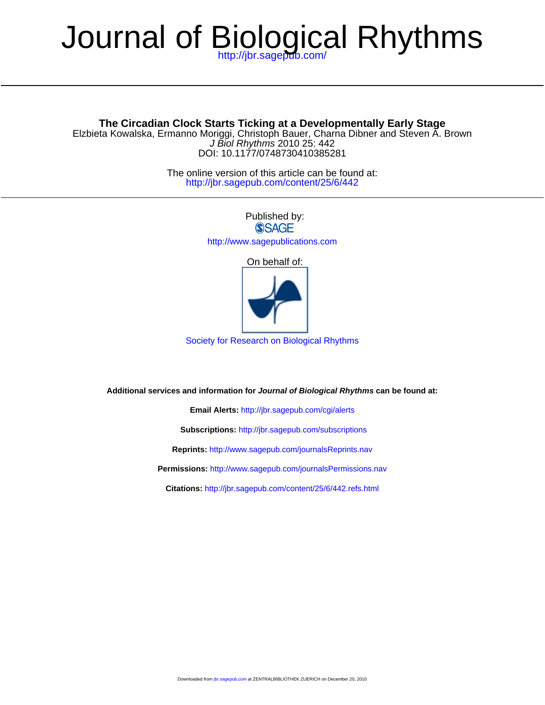# Journal of Biological Rhythms

DOI: 10.1177/0748730410385281 J Biol Rhythms 2010 25: 442 Elzbieta Kowalska, Ermanno Moriggi, Christoph Bauer, Charna Dibner and Steven A. Brown **The Circadian Clock Starts Ticking at a Developmentally Early Stage**

> <http://jbr.sagepub.com/content/25/6/442> The online version of this article can be found at:

> > Published by: **SSAGE** <http://www.sagepublications.com> On behalf of:

[Society for Research on Biological Rhythms](http://www.srbr.org)

**Additional services and information for Journal of Biological Rhythms can be found at:**

**Email Alerts:** <http://jbr.sagepub.com/cgi/alerts>

**Subscriptions:** <http://jbr.sagepub.com/subscriptions>

**Reprints:** <http://www.sagepub.com/journalsReprints.nav>

**Permissions:** <http://www.sagepub.com/journalsPermissions.nav>

**Citations:** <http://jbr.sagepub.com/content/25/6/442.refs.html>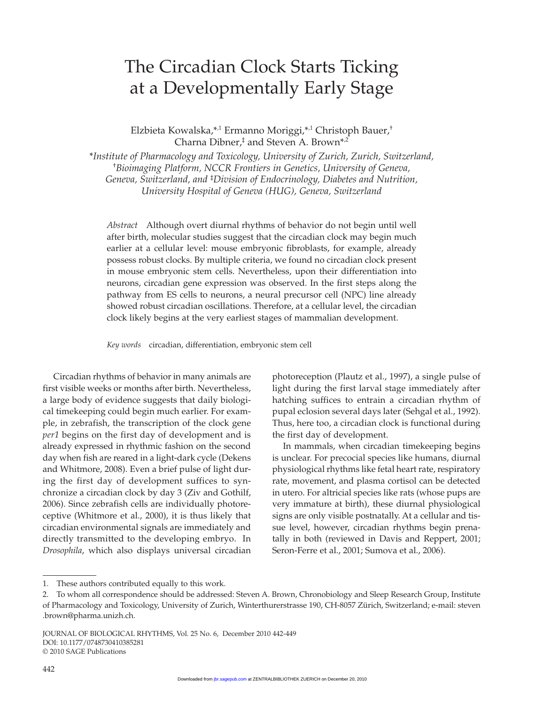# The Circadian Clock Starts Ticking at a Developmentally Early Stage

Elzbieta Kowalska,\*,1 Ermanno Moriggi,\*,1 Christoph Bauer,† Charna Dibner,<sup>‡</sup> and Steven A. Brown<sup>\*,2</sup>

\**Institute of Pharmacology and Toxicology, University of Zurich, Zurich, Switzerland,*  † *Bioimaging Platform, NCCR Frontiers in Genetics, University of Geneva, Geneva, Switzerland, and* ‡ *Division of Endocrinology, Diabetes and Nutrition, University Hospital of Geneva (HUG), Geneva, Switzerland*

*Abstract* Although overt diurnal rhythms of behavior do not begin until well after birth, molecular studies suggest that the circadian clock may begin much earlier at a cellular level: mouse embryonic fibroblasts, for example, already possess robust clocks. By multiple criteria, we found no circadian clock present in mouse embryonic stem cells. Nevertheless, upon their differentiation into neurons, circadian gene expression was observed. In the first steps along the pathway from ES cells to neurons, a neural precursor cell (NPC) line already showed robust circadian oscillations. Therefore, at a cellular level, the circadian clock likely begins at the very earliest stages of mammalian development.

*Key words* circadian, differentiation, embryonic stem cell

Circadian rhythms of behavior in many animals are first visible weeks or months after birth. Nevertheless, a large body of evidence suggests that daily biological timekeeping could begin much earlier. For example, in zebrafish, the transcription of the clock gene *per1* begins on the first day of development and is already expressed in rhythmic fashion on the second day when fish are reared in a light-dark cycle (Dekens and Whitmore, 2008). Even a brief pulse of light during the first day of development suffices to synchronize a circadian clock by day 3 (Ziv and Gothilf, 2006). Since zebrafish cells are individually photoreceptive (Whitmore et al., 2000), it is thus likely that circadian environmental signals are immediately and directly transmitted to the developing embryo. In *Drosophila*, which also displays universal circadian photoreception (Plautz et al., 1997), a single pulse of light during the first larval stage immediately after hatching suffices to entrain a circadian rhythm of pupal eclosion several days later (Sehgal et al., 1992). Thus, here too, a circadian clock is functional during the first day of development.

In mammals, when circadian timekeeping begins is unclear. For precocial species like humans, diurnal physiological rhythms like fetal heart rate, respiratory rate, movement, and plasma cortisol can be detected in utero. For altricial species like rats (whose pups are very immature at birth), these diurnal physiological signs are only visible postnatally. At a cellular and tissue level, however, circadian rhythms begin prenatally in both (reviewed in Davis and Reppert, 2001; Seron-Ferre et al., 2001; Sumova et al., 2006).

<sup>1.</sup> These authors contributed equally to this work.

<sup>2.</sup> To whom all correspondence should be addressed: Steven A. Brown, Chronobiology and Sleep Research Group, Institute of Pharmacology and Toxicology, University of Zurich, Winterthurerstrasse 190, CH-8057 Zürich, Switzerland; e-mail: steven .brown@pharma.unizh.ch.

JOURNAL OF BIOLOGICAL RHYTHMS, Vol. 25 No. 6, December 2010 442-449 DOI: 10.1177/0748730410385281 © 2010 SAGE Publications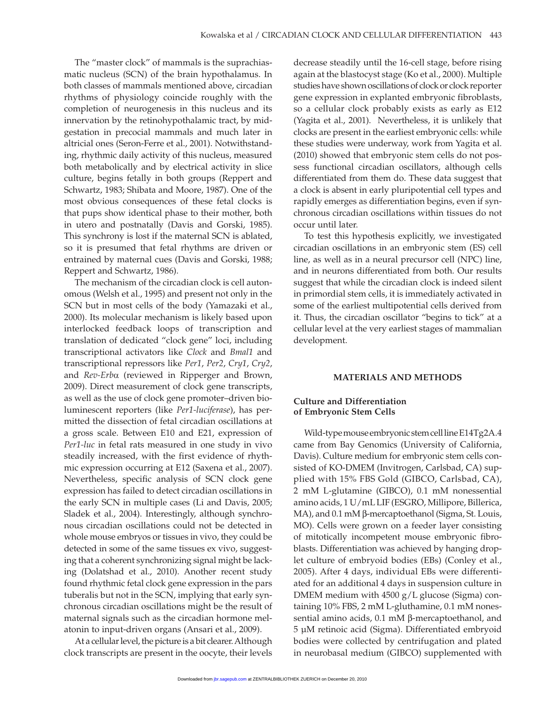The "master clock" of mammals is the suprachiasmatic nucleus (SCN) of the brain hypothalamus. In both classes of mammals mentioned above, circadian rhythms of physiology coincide roughly with the completion of neurogenesis in this nucleus and its innervation by the retinohypothalamic tract, by midgestation in precocial mammals and much later in altricial ones (Seron-Ferre et al., 2001). Notwithstanding, rhythmic daily activity of this nucleus, measured both metabolically and by electrical activity in slice culture, begins fetally in both groups (Reppert and Schwartz, 1983; Shibata and Moore, 1987). One of the most obvious consequences of these fetal clocks is that pups show identical phase to their mother, both in utero and postnatally (Davis and Gorski, 1985). This synchrony is lost if the maternal SCN is ablated, so it is presumed that fetal rhythms are driven or entrained by maternal cues (Davis and Gorski, 1988; Reppert and Schwartz, 1986).

The mechanism of the circadian clock is cell autonomous (Welsh et al., 1995) and present not only in the SCN but in most cells of the body (Yamazaki et al., 2000). Its molecular mechanism is likely based upon interlocked feedback loops of transcription and translation of dedicated "clock gene" loci, including transcriptional activators like *Clock* and *Bmal1* and transcriptional repressors like *Per1*, *Per2*, *Cry1*, *Cry2*, and *Rev-Erb*a (reviewed in Ripperger and Brown, 2009). Direct measurement of clock gene transcripts, as well as the use of clock gene promoter–driven bioluminescent reporters (like *Per1-luciferase*), has permitted the dissection of fetal circadian oscillations at a gross scale. Between E10 and E21, expression of *Per1-luc* in fetal rats measured in one study in vivo steadily increased, with the first evidence of rhythmic expression occurring at E12 (Saxena et al., 2007). Nevertheless, specific analysis of SCN clock gene expression has failed to detect circadian oscillations in the early SCN in multiple cases (Li and Davis, 2005; Sladek et al., 2004). Interestingly, although synchronous circadian oscillations could not be detected in whole mouse embryos or tissues in vivo, they could be detected in some of the same tissues ex vivo, suggesting that a coherent synchronizing signal might be lacking (Dolatshad et al., 2010). Another recent study found rhythmic fetal clock gene expression in the pars tuberalis but not in the SCN, implying that early synchronous circadian oscillations might be the result of maternal signals such as the circadian hormone melatonin to input-driven organs (Ansari et al., 2009).

At a cellular level, the picture is a bit clearer. Although clock transcripts are present in the oocyte, their levels

decrease steadily until the 16-cell stage, before rising again at the blastocyst stage (Ko et al., 2000). Multiple studies have shown oscillations of clock or clock reporter gene expression in explanted embryonic fibroblasts, so a cellular clock probably exists as early as E12 (Yagita et al., 2001). Nevertheless, it is unlikely that clocks are present in the earliest embryonic cells: while these studies were underway, work from Yagita et al. (2010) showed that embryonic stem cells do not possess functional circadian oscillators, although cells differentiated from them do. These data suggest that a clock is absent in early pluripotential cell types and rapidly emerges as differentiation begins, even if synchronous circadian oscillations within tissues do not occur until later.

To test this hypothesis explicitly, we investigated circadian oscillations in an embryonic stem (ES) cell line, as well as in a neural precursor cell (NPC) line, and in neurons differentiated from both. Our results suggest that while the circadian clock is indeed silent in primordial stem cells, it is immediately activated in some of the earliest multipotential cells derived from it. Thus, the circadian oscillator "begins to tick" at a cellular level at the very earliest stages of mammalian development.

#### **MATERIALS AND METHODS**

#### **Culture and Differentiation of Embryonic Stem Cells**

Wild-type mouse embryonic stem cell line E14Tg2A.4 came from Bay Genomics (University of California, Davis). Culture medium for embryonic stem cells consisted of KO-DMEM (Invitrogen, Carlsbad, CA) supplied with 15% FBS Gold (GIBCO, Carlsbad, CA), 2 mM L-glutamine (GIBCO), 0.1 mM nonessential amino acids, 1 U/mL LIF (ESGRO, Millipore, Billerica, MA), and 0.1 mM β-mercaptoethanol (Sigma, St. Louis, MO). Cells were grown on a feeder layer consisting of mitotically incompetent mouse embryonic fibroblasts. Differentiation was achieved by hanging droplet culture of embryoid bodies (EBs) (Conley et al., 2005). After 4 days, individual EBs were differentiated for an additional 4 days in suspension culture in DMEM medium with 4500 g/L glucose (Sigma) containing 10% FBS, 2 mM L-gluthamine, 0.1 mM nonessential amino acids, 0.1 mM β-mercaptoethanol, and 5 μM retinoic acid (Sigma). Differentiated embryoid bodies were collected by centrifugation and plated in neurobasal medium (GIBCO) supplemented with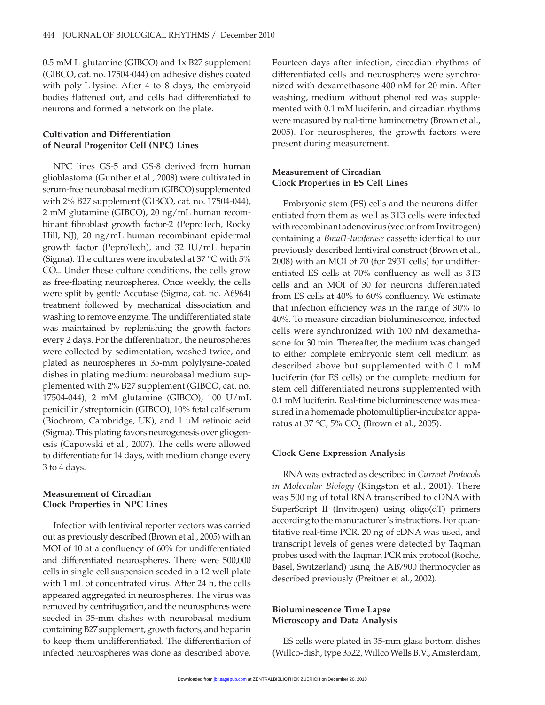0.5 mM L-glutamine (GIBCO) and 1x B27 supplement (GIBCO, cat. no. 17504-044) on adhesive dishes coated with poly-L-lysine. After 4 to 8 days, the embryoid bodies flattened out, and cells had differentiated to neurons and formed a network on the plate.

# **Cultivation and Differentiation of Neural Progenitor Cell (NPC) Lines**

NPC lines GS-5 and GS-8 derived from human glioblastoma (Gunther et al., 2008) were cultivated in serum-free neurobasal medium (GIBCO) supplemented with 2% B27 supplement (GIBCO, cat. no. 17504-044), 2 mM glutamine (GIBCO), 20 ng/mL human recombinant fibroblast growth factor-2 (PeproTech, Rocky Hill, NJ), 20 ng/mL human recombinant epidermal growth factor (PeproTech), and 32 IU/mL heparin (Sigma). The cultures were incubated at 37 °C with 5% CO<sub>2</sub>. Under these culture conditions, the cells grow as free-floating neurospheres. Once weekly, the cells were split by gentle Accutase (Sigma, cat. no. A6964) treatment followed by mechanical dissociation and washing to remove enzyme. The undifferentiated state was maintained by replenishing the growth factors every 2 days. For the differentiation, the neurospheres were collected by sedimentation, washed twice, and plated as neurospheres in 35-mm polylysine-coated dishes in plating medium: neurobasal medium supplemented with 2% B27 supplement (GIBCO, cat. no. 17504-044), 2 mM glutamine (GIBCO), 100 U/mL penicillin/streptomicin (GIBCO), 10% fetal calf serum (Biochrom, Cambridge, UK), and 1 μM retinoic acid (Sigma). This plating favors neurogenesis over gliogenesis (Capowski et al., 2007). The cells were allowed to differentiate for 14 days, with medium change every 3 to 4 days.

# **Measurement of Circadian Clock Properties in NPC Lines**

Infection with lentiviral reporter vectors was carried out as previously described (Brown et al., 2005) with an MOI of 10 at a confluency of 60% for undifferentiated and differentiated neurospheres. There were 500,000 cells in single-cell suspension seeded in a 12-well plate with 1 mL of concentrated virus. After 24 h, the cells appeared aggregated in neurospheres. The virus was removed by centrifugation, and the neurospheres were seeded in 35-mm dishes with neurobasal medium containing B27 supplement, growth factors, and heparin to keep them undifferentiated. The differentiation of infected neurospheres was done as described above.

Fourteen days after infection, circadian rhythms of differentiated cells and neurospheres were synchronized with dexamethasone 400 nM for 20 min. After washing, medium without phenol red was supplemented with 0.1 mM luciferin, and circadian rhythms were measured by real-time luminometry (Brown et al., 2005). For neurospheres, the growth factors were present during measurement.

# **Measurement of Circadian Clock Properties in ES Cell Lines**

Embryonic stem (ES) cells and the neurons differentiated from them as well as 3T3 cells were infected with recombinant adenovirus (vector from Invitrogen) containing a *Bmal1-luciferase* cassette identical to our previously described lentiviral construct (Brown et al., 2008) with an MOI of 70 (for 293T cells) for undifferentiated ES cells at 70% confluency as well as 3T3 cells and an MOI of 30 for neurons differentiated from ES cells at 40% to 60% confluency. We estimate that infection efficiency was in the range of 30% to 40%. To measure circadian bioluminescence, infected cells were synchronized with 100 nM dexamethasone for 30 min. Thereafter, the medium was changed to either complete embryonic stem cell medium as described above but supplemented with 0.1 mM luciferin (for ES cells) or the complete medium for stem cell differentiated neurons supplemented with 0.1 mM luciferin. Real-time bioluminescence was measured in a homemade photomultiplier-incubator apparatus at 37 °C, 5%  $CO_2$  (Brown et al., 2005).

#### **Clock Gene Expression Analysis**

RNA was extracted as described in *Current Protocols in Molecular Biology* (Kingston et al., 2001). There was 500 ng of total RNA transcribed to cDNA with SuperScript II (Invitrogen) using oligo(dT) primers according to the manufacturer's instructions. For quantitative real-time PCR, 20 ng of cDNA was used, and transcript levels of genes were detected by Taqman probes used with the Taqman PCR mix protocol (Roche, Basel, Switzerland) using the AB7900 thermocycler as described previously (Preitner et al., 2002).

### **Bioluminescence Time Lapse Microscopy and Data Analysis**

ES cells were plated in 35-mm glass bottom dishes (Willco-dish, type 3522, Willco Wells B.V., Amsterdam,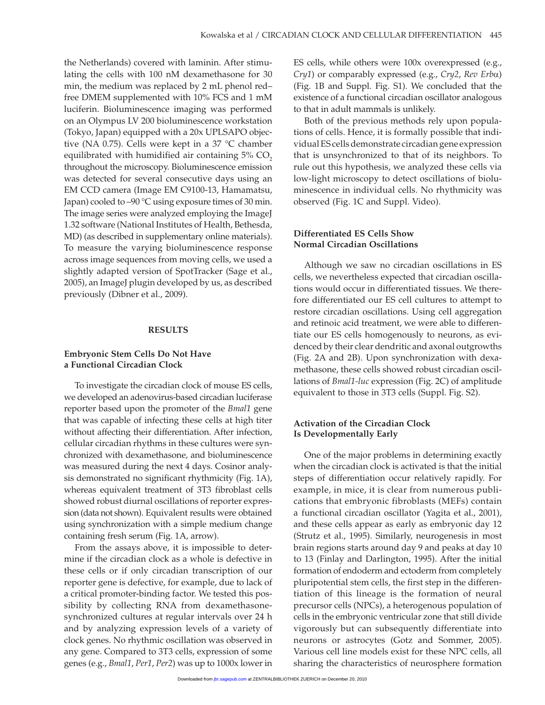the Netherlands) covered with laminin. After stimulating the cells with 100 nM dexamethasone for 30 min, the medium was replaced by 2 mL phenol red– free DMEM supplemented with 10% FCS and 1 mM luciferin. Bioluminescence imaging was performed on an Olympus LV 200 bioluminescence workstation (Tokyo, Japan) equipped with a 20x UPLSAPO objective (NA 0.75). Cells were kept in a 37 °C chamber equilibrated with humidified air containing  $5\%$  CO<sub>2</sub> throughout the microscopy. Bioluminescence emission was detected for several consecutive days using an EM CCD camera (Image EM C9100-13, Hamamatsu, Japan) cooled to –90 °C using exposure times of 30 min. The image series were analyzed employing the ImageJ 1.32 software (National Institutes of Health, Bethesda, MD) (as described in supplementary online materials). To measure the varying bioluminescence response across image sequences from moving cells, we used a slightly adapted version of SpotTracker (Sage et al., 2005), an ImageJ plugin developed by us, as described previously (Dibner et al., 2009).

#### **RESULTS**

#### **Embryonic Stem Cells Do Not Have a Functional Circadian Clock**

To investigate the circadian clock of mouse ES cells, we developed an adenovirus-based circadian luciferase reporter based upon the promoter of the *Bmal1* gene that was capable of infecting these cells at high titer without affecting their differentiation. After infection, cellular circadian rhythms in these cultures were synchronized with dexamethasone, and bioluminescence was measured during the next 4 days. Cosinor analysis demonstrated no significant rhythmicity (Fig. 1A), whereas equivalent treatment of 3T3 fibroblast cells showed robust diurnal oscillations of reporter expression (data not shown). Equivalent results were obtained using synchronization with a simple medium change containing fresh serum (Fig. 1A, arrow).

From the assays above, it is impossible to determine if the circadian clock as a whole is defective in these cells or if only circadian transcription of our reporter gene is defective, for example, due to lack of a critical promoter-binding factor. We tested this possibility by collecting RNA from dexamethasonesynchronized cultures at regular intervals over 24 h and by analyzing expression levels of a variety of clock genes. No rhythmic oscillation was observed in any gene. Compared to 3T3 cells, expression of some genes (e.g., *Bmal1*, *Per1*, *Per2*) was up to 1000x lower in

ES cells, while others were 100x overexpressed (e.g., *Cry1*) or comparably expressed (e.g., *Cry2*, *Rev Erb*a) (Fig. 1B and Suppl. Fig. S1). We concluded that the existence of a functional circadian oscillator analogous to that in adult mammals is unlikely.

Both of the previous methods rely upon populations of cells. Hence, it is formally possible that individual ES cells demonstrate circadian gene expression that is unsynchronized to that of its neighbors. To rule out this hypothesis, we analyzed these cells via low-light microscopy to detect oscillations of bioluminescence in individual cells. No rhythmicity was observed (Fig. 1C and Suppl. Video).

# **Differentiated ES Cells Show Normal Circadian Oscillations**

Although we saw no circadian oscillations in ES cells, we nevertheless expected that circadian oscillations would occur in differentiated tissues. We therefore differentiated our ES cell cultures to attempt to restore circadian oscillations. Using cell aggregation and retinoic acid treatment, we were able to differentiate our ES cells homogenously to neurons, as evidenced by their clear dendritic and axonal outgrowths (Fig. 2A and 2B). Upon synchronization with dexamethasone, these cells showed robust circadian oscillations of *Bmal1-luc* expression (Fig. 2C) of amplitude equivalent to those in 3T3 cells (Suppl. Fig. S2).

# **Activation of the Circadian Clock Is Developmentally Early**

One of the major problems in determining exactly when the circadian clock is activated is that the initial steps of differentiation occur relatively rapidly. For example, in mice, it is clear from numerous publications that embryonic fibroblasts (MEFs) contain a functional circadian oscillator (Yagita et al., 2001), and these cells appear as early as embryonic day 12 (Strutz et al., 1995). Similarly, neurogenesis in most brain regions starts around day 9 and peaks at day 10 to 13 (Finlay and Darlington, 1995). After the initial formation of endoderm and ectoderm from completely pluripotential stem cells, the first step in the differentiation of this lineage is the formation of neural precursor cells (NPCs), a heterogenous population of cells in the embryonic ventricular zone that still divide vigorously but can subsequently differentiate into neurons or astrocytes (Gotz and Sommer, 2005). Various cell line models exist for these NPC cells, all sharing the characteristics of neurosphere formation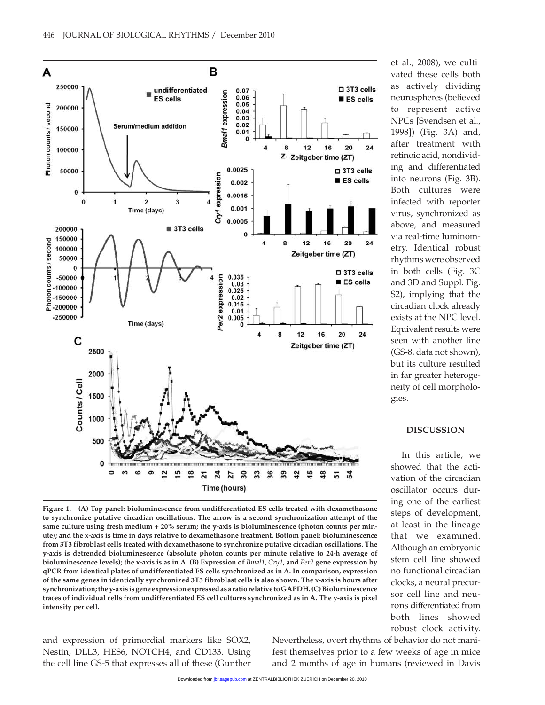

**Figure 1. (A) Top panel: bioluminescence from undifferentiated ES cells treated with dexamethasone to synchronize putative circadian oscillations. The arrow is a second synchronization attempt of the same culture using fresh medium + 20% serum; the y-axis is bioluminescence (photon counts per minute); and the x-axis is time in days relative to dexamethasone treatment. Bottom panel: bioluminescence from 3T3 fibroblast cells treated with dexamethasone to synchronize putative circadian oscillations. The y-axis is detrended bioluminescence (absolute photon counts per minute relative to 24-h average of bioluminescence levels); the x-axis is as in A. (B) Expression of** *Bmal1***,** *Cry1***, and** *Per2* **gene expression by qPCR from identical plates of undifferentiated ES cells synchronized as in A. In comparison, expression of the same genes in identically synchronized 3T3 fibroblast cells is also shown. The x-axis is hours after synchronization; the y-axis is gene expression expressed as a ratio relative to GAPDH. (C) Bioluminescence traces of individual cells from undifferentiated ES cell cultures synchronized as in A. The y-axis is pixel intensity per cell.**

and expression of primordial markers like SOX2, Nestin, DLL3, HES6, NOTCH4, and CD133. Using the cell line GS-5 that expresses all of these (Gunther et al., 2008), we cultivated these cells both as actively dividing neurospheres (believed to represent active NPCs [Svendsen et al., 1998]) (Fig. 3A) and, after treatment with retinoic acid, nondividing and differentiated into neurons (Fig. 3B). Both cultures were infected with reporter virus, synchronized as above, and measured via real-time luminometry. Identical robust rhythms were observed in both cells (Fig. 3C and 3D and Suppl. Fig. S2), implying that the circadian clock already exists at the NPC level. Equivalent results were seen with another line (GS-8, data not shown), but its culture resulted in far greater heterogeneity of cell morphologies.

# **DISCUSSION**

In this article, we showed that the activation of the circadian oscillator occurs during one of the earliest steps of development, at least in the lineage that we examined. Although an embryonic stem cell line showed no functional circadian clocks, a neural precursor cell line and neurons differentiated from both lines showed robust clock activity.

Nevertheless, overt rhythms of behavior do not manifest themselves prior to a few weeks of age in mice and 2 months of age in humans (reviewed in Davis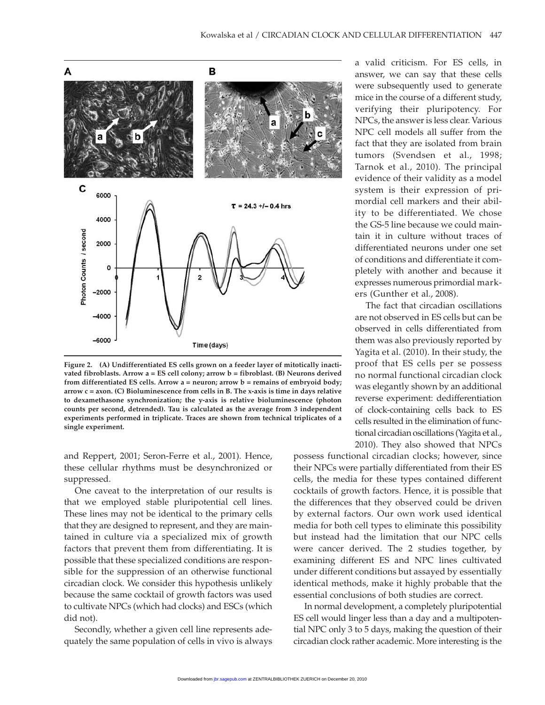

**Figure 2. (A) Undifferentiated ES cells grown on a feeder layer of mitotically inactivated fibroblasts. Arrow a = ES cell colony; arrow b = fibroblast. (B) Neurons derived from differentiated ES cells. Arrow a = neuron; arrow b = remains of embryoid body; arrow c = axon. (C) Bioluminescence from cells in B. The x-axis is time in days relative to dexamethasone synchronization; the y-axis is relative bioluminescence (photon counts per second, detrended). Tau is calculated as the average from 3 independent experiments performed in triplicate. Traces are shown from technical triplicates of a single experiment.**

and Reppert, 2001; Seron-Ferre et al., 2001). Hence, these cellular rhythms must be desynchronized or suppressed.

One caveat to the interpretation of our results is that we employed stable pluripotential cell lines. These lines may not be identical to the primary cells that they are designed to represent, and they are maintained in culture via a specialized mix of growth factors that prevent them from differentiating. It is possible that these specialized conditions are responsible for the suppression of an otherwise functional circadian clock. We consider this hypothesis unlikely because the same cocktail of growth factors was used to cultivate NPCs (which had clocks) and ESCs (which did not).

Secondly, whether a given cell line represents adequately the same population of cells in vivo is always

a valid criticism. For ES cells, in answer, we can say that these cells were subsequently used to generate mice in the course of a different study, verifying their pluripotency. For NPCs, the answer is less clear. Various NPC cell models all suffer from the fact that they are isolated from brain tumors (Svendsen et al., 1998; Tarnok et al., 2010). The principal evidence of their validity as a model system is their expression of primordial cell markers and their ability to be differentiated. We chose the GS-5 line because we could maintain it in culture without traces of differentiated neurons under one set of conditions and differentiate it completely with another and because it expresses numerous primordial markers (Gunther et al., 2008).

The fact that circadian oscillations are not observed in ES cells but can be observed in cells differentiated from them was also previously reported by Yagita et al. (2010). In their study, the proof that ES cells per se possess no normal functional circadian clock was elegantly shown by an additional reverse experiment: dedifferentiation of clock-containing cells back to ES cells resulted in the elimination of functional circadian oscillations (Yagita et al., 2010). They also showed that NPCs

possess functional circadian clocks; however, since their NPCs were partially differentiated from their ES cells, the media for these types contained different cocktails of growth factors. Hence, it is possible that the differences that they observed could be driven by external factors. Our own work used identical media for both cell types to eliminate this possibility but instead had the limitation that our NPC cells were cancer derived. The 2 studies together, by examining different ES and NPC lines cultivated under different conditions but assayed by essentially identical methods, make it highly probable that the essential conclusions of both studies are correct.

In normal development, a completely pluripotential ES cell would linger less than a day and a multipotential NPC only 3 to 5 days, making the question of their circadian clock rather academic. More interesting is the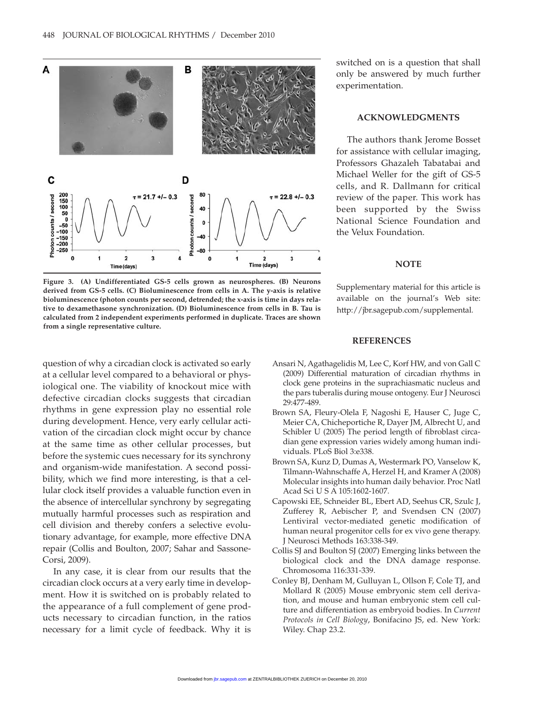

**Figure 3. (A) Undifferentiated GS-5 cells grown as neurospheres. (B) Neurons derived from GS-5 cells. (C) Bioluminescence from cells in A. The y-axis is relative bioluminescence (photon counts per second, detrended; the x-axis is time in days relative to dexamethasone synchronization. (D) Bioluminescence from cells in B. Tau is calculated from 2 independent experiments performed in duplicate. Traces are shown from a single representative culture.**

question of why a circadian clock is activated so early at a cellular level compared to a behavioral or physiological one. The viability of knockout mice with defective circadian clocks suggests that circadian rhythms in gene expression play no essential role during development. Hence, very early cellular activation of the circadian clock might occur by chance at the same time as other cellular processes, but before the systemic cues necessary for its synchrony and organism-wide manifestation. A second possibility, which we find more interesting, is that a cellular clock itself provides a valuable function even in the absence of intercellular synchrony by segregating mutually harmful processes such as respiration and cell division and thereby confers a selective evolutionary advantage, for example, more effective DNA repair (Collis and Boulton, 2007; Sahar and Sassone-Corsi, 2009).

In any case, it is clear from our results that the circadian clock occurs at a very early time in development. How it is switched on is probably related to the appearance of a full complement of gene products necessary to circadian function, in the ratios necessary for a limit cycle of feedback. Why it is switched on is a question that shall only be answered by much further experimentation.

#### **ACKNOWLEDGMENTS**

The authors thank Jerome Bosset for assistance with cellular imaging, Professors Ghazaleh Tabatabai and Michael Weller for the gift of GS-5 cells, and R. Dallmann for critical review of the paper. This work has been supported by the Swiss National Science Foundation and the Velux Foundation.

#### **NOTE**

Supplementary material for this article is available on the journal's Web site: http://jbr.sagepub.com/supplemental.

#### **REFERENCES**

- Ansari N, Agathagelidis M, Lee C, Korf HW, and von Gall C (2009) Differential maturation of circadian rhythms in clock gene proteins in the suprachiasmatic nucleus and the pars tuberalis during mouse ontogeny. Eur J Neurosci 29:477-489.
- Brown SA, Fleury-Olela F, Nagoshi E, Hauser C, Juge C, Meier CA, Chicheportiche R, Dayer JM, Albrecht U, and Schibler U (2005) The period length of fibroblast circadian gene expression varies widely among human individuals. PLoS Biol 3:e338.
- Brown SA, Kunz D, Dumas A, Westermark PO, Vanselow K, Tilmann-Wahnschaffe A, Herzel H, and Kramer A (2008) Molecular insights into human daily behavior. Proc Natl Acad Sci U S A 105:1602-1607.
- Capowski EE, Schneider BL, Ebert AD, Seehus CR, Szulc J, Zufferey R, Aebischer P, and Svendsen CN (2007) Lentiviral vector-mediated genetic modification of human neural progenitor cells for ex vivo gene therapy. J Neurosci Methods 163:338-349.
- Collis SJ and Boulton SJ (2007) Emerging links between the biological clock and the DNA damage response. Chromosoma 116:331-339.
- Conley BJ, Denham M, Gulluyan L, Ollson F, Cole TJ, and Mollard R (2005) Mouse embryonic stem cell derivation, and mouse and human embryonic stem cell culture and differentiation as embryoid bodies. In *Current Protocols in Cell Biology*, Bonifacino JS, ed. New York: Wiley. Chap 23.2.